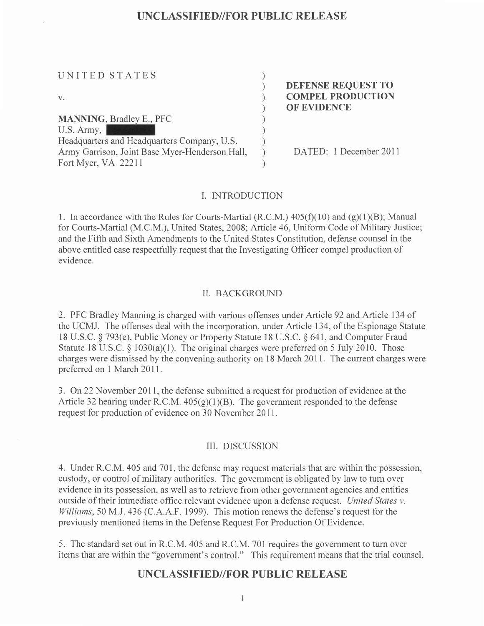| UNITED STATES<br>V.                            | <b>DEFENSE REQUEST TO</b><br><b>COMPEL PRODUCTION</b><br><b>OF EVIDENCE</b> |
|------------------------------------------------|-----------------------------------------------------------------------------|
| <b>MANNING, Bradley E., PFC</b>                |                                                                             |
| U.S. Army,                                     |                                                                             |
| Headquarters and Headquarters Company, U.S.    |                                                                             |
| Army Garrison, Joint Base Myer-Henderson Hall, | DATED: 1 December 2011                                                      |
| Fort Myer, VA 22211                            |                                                                             |

#### I. INTRODUCTION

1. In accordance with the Rules for Courts-Martial (R.C.M.)  $405(f)(10)$  and (g)(1)(B); Manual for Courts-Martial (M.C.M.), United States, 2008; Article 46, Uniform Code of Military Justice; and the Fifth and Sixth Amendments to the United States Constitution, defense counsel in the above entitled case respectfully request that the Investigating Officer compel production of evidence.

#### II. BACKGROLIND

2. PFC Bradley Manning is charged with various offenses under Article 92 and Article I34 of the UCMJ. The offenses deal with the incorporation, under Article 134, of the Espionage Statute 18 U.S.C. \$ 793(e), Public Money or Property Statute 18 U.S.C. \$ 641, and Computer Fraud Statute 18 U.S.C.  $\S 1030(a)(1)$ . The original charges were preferred on 5 July 2010. Those charges were dismissed by the convening authority on 18 March 2011. The current charges were preferred on 1 March 2011.

3. On22 November 201 1, the defense submitted a request for production of evidence at the Article 32 hearing under R.C.M.  $405(g)(1)(B)$ . The government responded to the defense request for production of evidence on 30 November 2011.

#### ilI. DISCUSSION

4. Under R.C.M. 405 and 701, the defense may request materials that are within the possession, custody, or control of military authorities. The government is obligated by law to turn over evidence in its possession, as well as to retrieve from other government agencies and entities outside of their immediate office relevant evidence upon a defense request. United States v. Williams, 50 M.J. 436 (C.A.A.F. 1999). This motion renews the defense's request for the previously mentioned items in the Defense Request For Production Of Evidence.

5. The standard set out in R.C.M. 405 and R.C.M. 701 requires the government to turn over items that are within the "government's control." This requirement means that the trial counsel,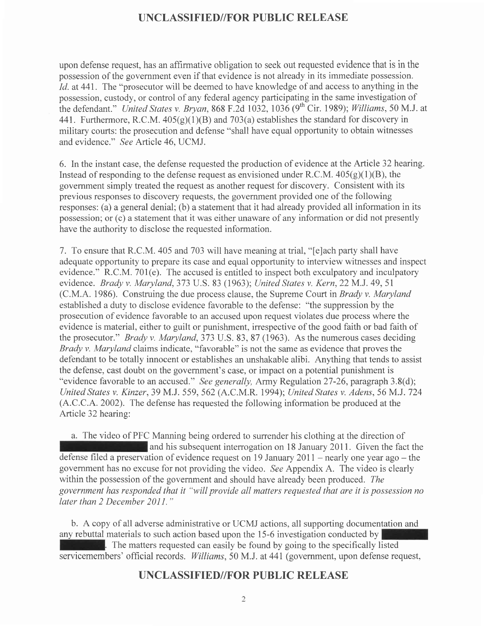upon defense request, has an affirmative obligation to seek out requested evidence that is in the possession of the government even if that evidence is not already in its immediate possession. Id. at 441. The "prosecutor will be deemed to have knowledge of and access to anything in the possession, custody, or control of any federal agency participating in the same investigation of the defendant." United States v. Bryan, 868 F.2d 1032, 1036 (9<sup>th</sup> Cir. 1989); Williams, 50 M.J. at 441. Furthermore, R.C.M.  $405(g)(1)(B)$  and  $703(a)$  establishes the standard for discovery in military courts: the prosecution and defense "shall have equal opportunity to obtain witnesses and evidence." See Article 46, UCMJ.

6. In the instant case, the defense requested the production of evidence at the Article 32 hearing. Instead of responding to the defense request as envisioned under R.C.M.  $405(g)(1)(B)$ , the government simply treated the request as another request for discovery. Consistent with its previous responses to discovery requests, the government provided one of the following responses: (a) a general denial; (b) a statement that it had already provided all information in its possession; or (c) a statement that it was either unaware of any information or did not presently have the authority to disclose the requested information.

7. To ensure that R.C.M. 405 and 703 will have meaning attrial, "[e]ach party shall have adequate opportunity to prepare its case and equal opportunity to interview witnesses and inspect evidence." R.C.M. 701(e). The accused is entitled to inspect both exculpatory and inculpatory evidence. Brady v. Maryland, 373 U.S. 83 (1963); United States v. Kern, 22 M.J. 49, 51 (C.M.A. 1986). Construing the due process clause, the Supreme Court in Brady v. Maryland established a duty to disclose evidence favorable to the defense: "the suppression by the prosecution of evidence favorable to an accused upon request violates due process where the evidence is material, either to guilt or punishment, irrespective of the good faith or bad faith of the prosecutor." Brady v. Maryland,373 U.S. 83, 87 (1963). As the numerous cases deciding Brady v. Maryland claims indicate, "favorable" is not the same as evidence that proves the defendant to be totally innocent or establishes an unshakable alibi. Anything that tends to assist the defense, cast doubt on the govemment's case, or impact on a potential punishment is "evidence favorable to an accused." See generally, Army Regulation 27-26, paragraph 3.8(d); United States v. Kinzer, 39 M.J. 559, 562 (A.C.M.R. 1994); United States v. Adens, 56 M.J. 724 (A.C.C.A.2002). The defense has requested the following information be produced at the Article 32 hearinq:

a. The video of PFC Manning being ordered to surrender his clothing at the direction of and his subsequent interrogation on 18 January 2011. Given the fact the defense filed a preservation of evidence request on 19 January  $2011$  – nearly one year ago – the government has no excuse for not providing the video . See Appendix A. The video is clearly within the possession of the government and should have already been produced. The government has responded that it "will provide all matters requested that are it is possession no later than 2 December 2011."

b. A copy of all adverse administrative or UCMJ actions, all supporting documentation and any rebuttal materials to such action based upon the 15-6 investigation conducted by . The matters requested can easily be found by going to the specifically listed servicemembers' official records. Williams, 50 M.J. at 441 (government, upon defense request,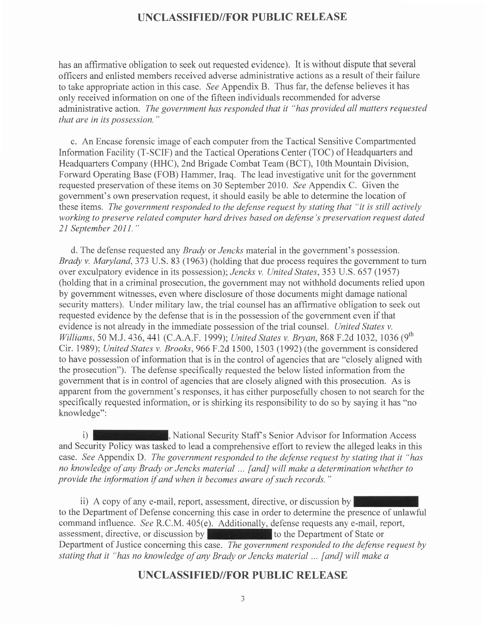has an affirmative obligation to seek out requested evidence). It is without dispute that several officers and enlisted members received adverse administrative actions as a result of their failure to take appropriate action in this case. See Appendix B. Thus far, the defense believes it has only received information on one of the fifteen individuals recommended for adverse administrative action. The government has responded that it "has provided all matters requested that are in its possession. "

c. An Encase forensic image of each computer from the Tactical Sensitive Compartmented Information Facility (T-SCIF) and the Tactical Operations Center (TOC) of Headquarters and Headquarters Company (HHC), 2nd Brigade Combat Team (BCT), 10th Mountain Division, Forward Operating Base (FOB) Hammer, Iraq. The lead investigative unit for the government requested preservation of these items on 30 September 2010. See Appendix C. Given the government's own preservation request, it should easily be able to determine the location of these items. The government responded to the defense request by stating that "it is still actively working to preserve related computer hard drives based on defense's preservation request dated 21 September 2011."

d. The defense requested any Brady or Jencks material in the government's possession. Brady v. Maryland, 373 U.S. 83 (1963) (holding that due process requires the government to turn over exculpatory evidence in its possession); Jencks v. United States,353 U.S.657 (1957) (holding that in a criminal prosecution, the government may not withhold documents relied upon by government witnesses, even where disclosure of those documents might damage national security matters). Under military law, the trial counsel has an affirmative obligation to seek out requested evidence by the defense that is in the possession of the govemment even if that evidence is not already in the immediate possession of the trial counsel. United States v. Williams, 50 M.J. 436, 441 (C.A.A.F. 1999); United States v. Brvan, 868 F.2d 1032, 1036 (9<sup>th</sup>) Cir. 1989); United States v. Brooks, 966 F.2d 1500, 1503 (1992) (the government is considered to have possession of information that is in the control of agencies that are "closely aligned with the prosecution"). The defense specifically requested the below listed information from the government that is in control of agencies that are closely aligned with this prosecution. As is apparent from the government's responses, it has either purposefully chosen to not search for the specifically requested information, or is shirking its responsibility to do so by saying it has "no knowledge":

**National Security Staff's Senior Advisor for Information Access** and Security Policy was tasked to lead a comprehensive effort to review the alleged leaks in this case. See Appendix D. The government responded to the defense request by stating that it "has no knowledge of any Brady or Jencks material ... [and] will make a determination whether to provide the information if and when it becomes aware of such records. "  $i)$ 

ii) A copy of any e-mail, report, assessment, directive, or discussion by to the Department of Defense concerning this case in order to determine the presence of unlawful command influence. See R.C.M. 405(e). Additionally, defense requests any e-mail, report, assessment, directive, or discussion by to the Department of State or Department of Justice concerning this case. The government responded to the defense request by stating that it "has no knowledge of any Brady or Jencks material ... [and] will make a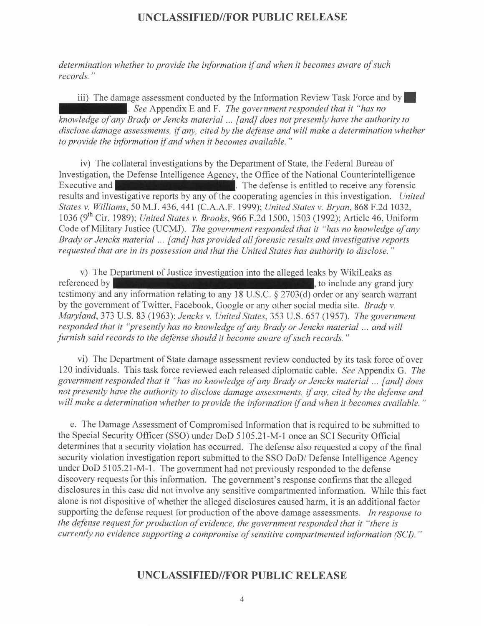determination whether to provide the information if and when it becomes aware of such records. "

iii) The damage assessment conducted by the Information Review Task Force and by  $\blacksquare$ . See Appendix E and F. The government responded that it "has no knowledge of any Brady or Jencks material ... [andJ does not presently have the authority to disclose damage assessments, if any, cited by the defense and will make a determination whether to provide the information if and when it becomes available. "

iv) The collateral investigations by the Department of State, the Federal Bureau of Investigation, the Defense Intelligence Agency, the Office of the National Counterintelligence Executive and **EXECUTE:** The defense is entitled to receive any forensic results and investigative reports by any of the cooperating agencies in this investigation. United States v. Williams, 50 M.J. 436, 441 (C.A.A.F. 1999); United States v. Bryan, 868 F.2d 1032, 1036 (9<sup>th</sup> Cir. 1989); *United States v. Brooks*, 966 F.2d 1500, 1503 (1992); Article 46, Uniform Code of Military Justice (UCMJ). The government responded that it "has no knowledge of any Brady or Jencks material ... [and] has provided all forensic results and investigative reports requested that are in its possession and that the United States has authority to disclose. "

v) The Department of Justice investigation into the alleged leaks by WikiLeaks as referenced by  $\mathbf{t}$ , to include any grand jury testimony and any information relating to any 18 U.S.C. \$ 2703(d) order or any search warrant by the government of Twitter, Facebook, Google or any other social media site. Brady v. Maryland, 373 U.S. 83 (1963); Jencks v. United States, 353 U.S. 657 (1957). The government responded that it "presently has no knowledge of any Brady or Jencks material ... andwill furnish said records to the defense should it become aware of such records. "

vi) The Department of State damage assessment review conducted by its task force of over 120 individuals. This task force reviewed each released diplomatic cable. See Appendix G. The government responded that it "has no knowledge of any Brady or Jencks material .. [andJ does not presently have the authority to disclose damage assessments, if any, cited by the defense and will make a determination whether to provide the information if and when it becomes available. "

e. The Damage Assessment of Compromised Information that is required to be submitted to the Special Security Officer (SSO) under DoD 5105.21-M-1 once an SCI Security Official determines that a security violation has occurred. The defense also requested a copy of the final security violation investigation report submitted to the SSO DoD/ Defense Intelligence Agency under DoD 5105.21-M-1. The government had not previously responded to the defense discovery requests for this information. The government's response confirms that the alleged disclosures in this case did not involve any sensitive compartmented information. While this fact alone is not dispositive of whether the alleged disclosures caused harm, it is an additional factor supporting the defense request for production of the above damage assessments. *In response to* the defense request for production of evidence, the government responded that it "there is currently no evidence supporting a compromise of sensitive compartmented information (SCI)."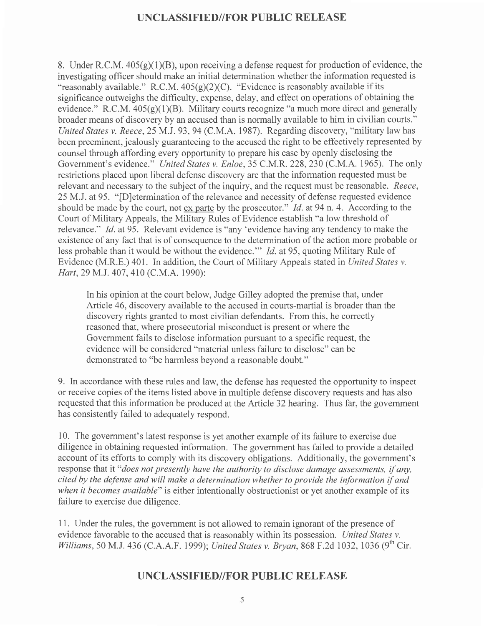8. Under R.C.M.  $405(g)(1)(B)$ , upon receiving a defense request for production of evidence, the investigating officer should make an initial determination whether the information requested is "reasonably available." R.C.M.  $405(g)(2)(C)$ . "Evidence is reasonably available if its significance outweighs the difficulty, expense, delay, and effect on operations of obtaining the evidence." R.C.M.  $405(g)(1)(B)$ . Military courts recognize "a much more direct and generally broader means of discovery by an accused than is normally available to him in civilian courts." United States v. Reece,25 M.J.93,94 (C.M.A. 1987). Regarding discovery, "military law has been preeminent, jealously guaranteeing to the accused the right to be effectively represented by counsel through affording every opportunity to prepare his case by openly disclosing the Government's evidence." United States v. Enloe, 35 C.M.R. 228, 230 (C.M.A. 1965). The only restrictions placed upon liberal defense discovery are that the information requested must be relevant and necessary to the subject of the inquiry, and the request must be reasonable. Reece, 25 M.J. at95. "[D]etermination of the relevance and necessity of defense requested evidence should be made by the court, not ex parte by the prosecutor." *Id.* at 94 n. 4. According to the Court of Military Appeals, the Military Rules of Evidence establish "a low threshold of relevance." Id. at 95. Relevant evidence is "any 'evidence having any tendency to make the existence of any fact that is of consequence to the determination of the action more probable or less probable than it would be without the evidence." *Id.* at 95, quoting Military Rule of Evidence (M.R.E.) 401. In addition, the Court of Military Appeals stated in United States v. Hart, 29 M.J. 407, 410 (C.M.A. 1990):

In his opinion at the court below, Judge Gilley adopted the premise that, under Article 46, discovery available to the accused in courts-martial is broader than the discovery rights granted to most civilian defendants. From this, he correctly reasoned that, where prosecutorial misconduct is present or where the Government fails to disclose information pursuant to a specific request, the evidence will be considered "material unless failure to disclose" can be demonstrated to "be harmless bevond a reasonable doubt."

9. In accordance with these rules and law, the defense has requested the opportunity to inspect or receive copies of the items listed above in multiple defense discovery requests and has also requested that this information be produced at the Article 32 hearing. Thus far, the government has consistently failed to adequately respond.

10. The government's latest response is yet another example of its failure to exercise due diligence in obtaining requested information. The government has failed to provide a detailed account of its efforts to comply with its discovery obligations. Additionally, the government's response that it "does not presently have the authority to disclose damage assessments, if any, cited by the defense and will make a determination whether to provide the information if and when it becomes available" is either intentionally obstructionist or yet another example of its failure to exercise due diligence.

<sup>1</sup>1 . Under the rules, the government is not allowed to remain ignorant of the presence of evidence favorable to the accused that is reasonably within its possession. United States v. Williams, 50 M.J. 436 (C.A.A.F. 1999); United States v. Bryan, 868 F.2d 1032, 1036 (9<sup>th</sup> Cir.